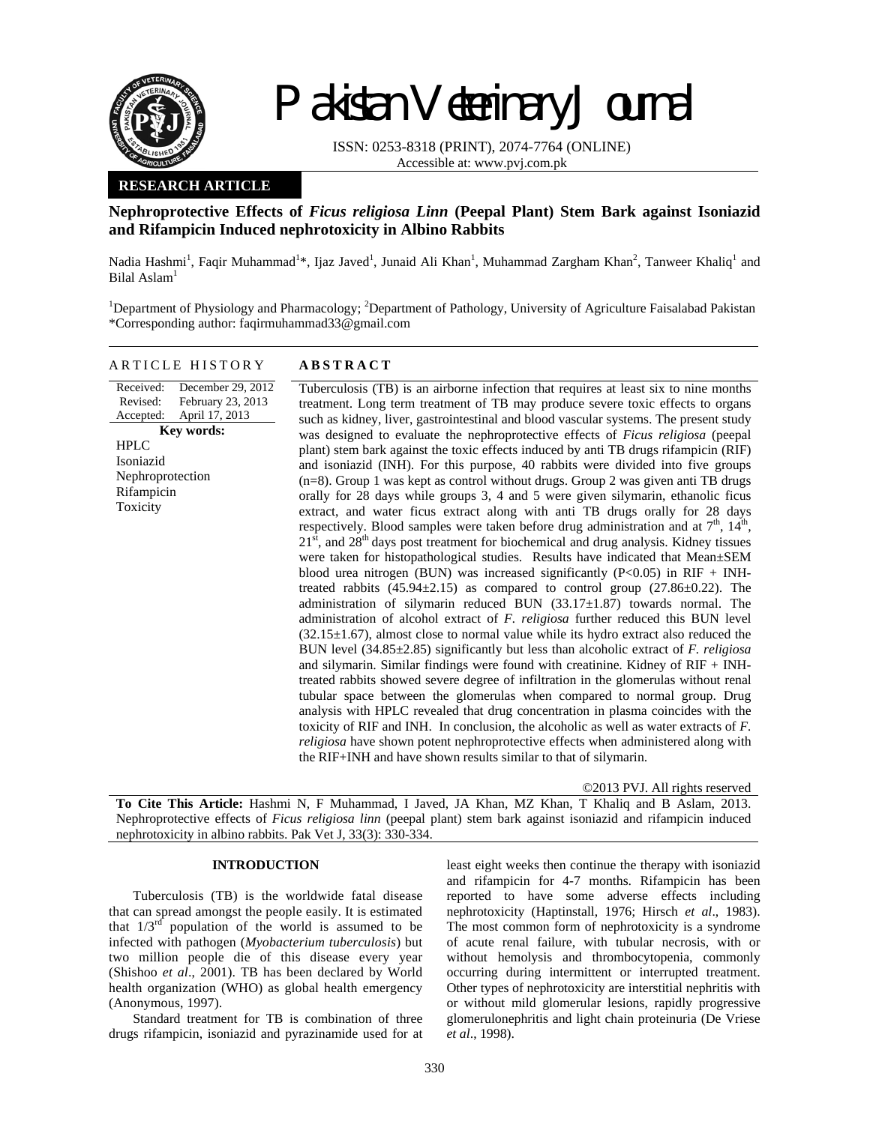

Received: Revised: Accepted:

HPLC Isoniazid

Rifampicin Toxicity

# Pakistan Veterinary Journal

ISSN: 0253-8318 (PRINT), 2074-7764 (ONLINE) Accessible at: www.pvj.com.pk

## **RESEARCH ARTICLE**

# **Nephroprotective Effects of** *Ficus religiosa Linn* **(Peepal Plant) Stem Bark against Isoniazid and Rifampicin Induced nephrotoxicity in Albino Rabbits**

Nadia Hashmi<sup>1</sup>, Faqir Muhammad<sup>1</sup>\*, Ijaz Javed<sup>1</sup>, Junaid Ali Khan<sup>1</sup>, Muhammad Zargham Khan<sup>2</sup>, Tanweer Khaliq<sup>1</sup> and Bilal Aslam<sup>1</sup>

<sup>1</sup>Department of Physiology and Pharmacology; <sup>2</sup>Department of Pathology, University of Agriculture Faisalabad Pakistan \*Corresponding author: faqirmuhammad33@gmail.com

# ARTICLE HISTORY **ABSTRACT**

December 29, 2012 February 23, 2013 April 17, 2013 **Key words:**  Nephroprotection Tuberculosis (TB) is an airborne infection that requires at least six to nine months treatment. Long term treatment of TB may produce severe toxic effects to organs such as kidney, liver, gastrointestinal and blood vascular systems. The present study was designed to evaluate the nephroprotective effects of *Ficus religiosa* (peepal plant) stem bark against the toxic effects induced by anti TB drugs rifampicin (RIF) and isoniazid (INH). For this purpose, 40 rabbits were divided into five groups (n=8). Group 1 was kept as control without drugs. Group 2 was given anti TB drugs orally for 28 days while groups 3, 4 and 5 were given silymarin, ethanolic ficus extract, and water ficus extract along with anti TB drugs orally for 28 days respectively. Blood samples were taken before drug administration and at  $7<sup>th</sup>$ ,  $14<sup>th</sup>$ ,  $21<sup>st</sup>$ , and  $28<sup>th</sup>$  days post treatment for biochemical and drug analysis. Kidney tissues were taken for histopathological studies. Results have indicated that Mean±SEM blood urea nitrogen (BUN) was increased significantly ( $P<0.05$ ) in RIF + INHtreated rabbits  $(45.94\pm2.15)$  as compared to control group  $(27.86\pm0.22)$ . The administration of silymarin reduced BUN (33.17±1.87) towards normal. The administration of alcohol extract of *F. religiosa* further reduced this BUN level  $(32.15\pm1.67)$ , almost close to normal value while its hydro extract also reduced the BUN level (34.85±2.85) significantly but less than alcoholic extract of *F. religiosa* and silymarin. Similar findings were found with creatinine. Kidney of RIF + INHtreated rabbits showed severe degree of infiltration in the glomerulas without renal tubular space between the glomerulas when compared to normal group. Drug analysis with HPLC revealed that drug concentration in plasma coincides with the toxicity of RIF and INH. In conclusion, the alcoholic as well as water extracts of *F. religiosa* have shown potent nephroprotective effects when administered along with the RIF+INH and have shown results similar to that of silymarin.

©2013 PVJ. All rights reserved

**To Cite This Article:** Hashmi N, F Muhammad, I Javed, JA Khan, MZ Khan, T Khaliq and B Aslam, 2013. Nephroprotective effects of *Ficus religiosa linn* (peepal plant) stem bark against isoniazid and rifampicin induced nephrotoxicity in albino rabbits. Pak Vet J, 33(3): 330-334.

## **INTRODUCTION**

Tuberculosis (TB) is the worldwide fatal disease that can spread amongst the people easily. It is estimated that  $1/3^{rd}$  population of the world is assumed to be infected with pathogen (*Myobacterium tuberculosis*) but two million people die of this disease every year (Shishoo *et al*., 2001). TB has been declared by World health organization (WHO) as global health emergency (Anonymous, 1997).

Standard treatment for TB is combination of three drugs rifampicin, isoniazid and pyrazinamide used for at least eight weeks then continue the therapy with isoniazid and rifampicin for 4-7 months. Rifampicin has been reported to have some adverse effects including nephrotoxicity (Haptinstall, 1976; Hirsch *et al*., 1983). The most common form of nephrotoxicity is a syndrome of acute renal failure, with tubular necrosis, with or without hemolysis and thrombocytopenia, commonly occurring during intermittent or interrupted treatment. Other types of nephrotoxicity are interstitial nephritis with or without mild glomerular lesions, rapidly progressive glomerulonephritis and light chain proteinuria (De Vriese *et al*., 1998).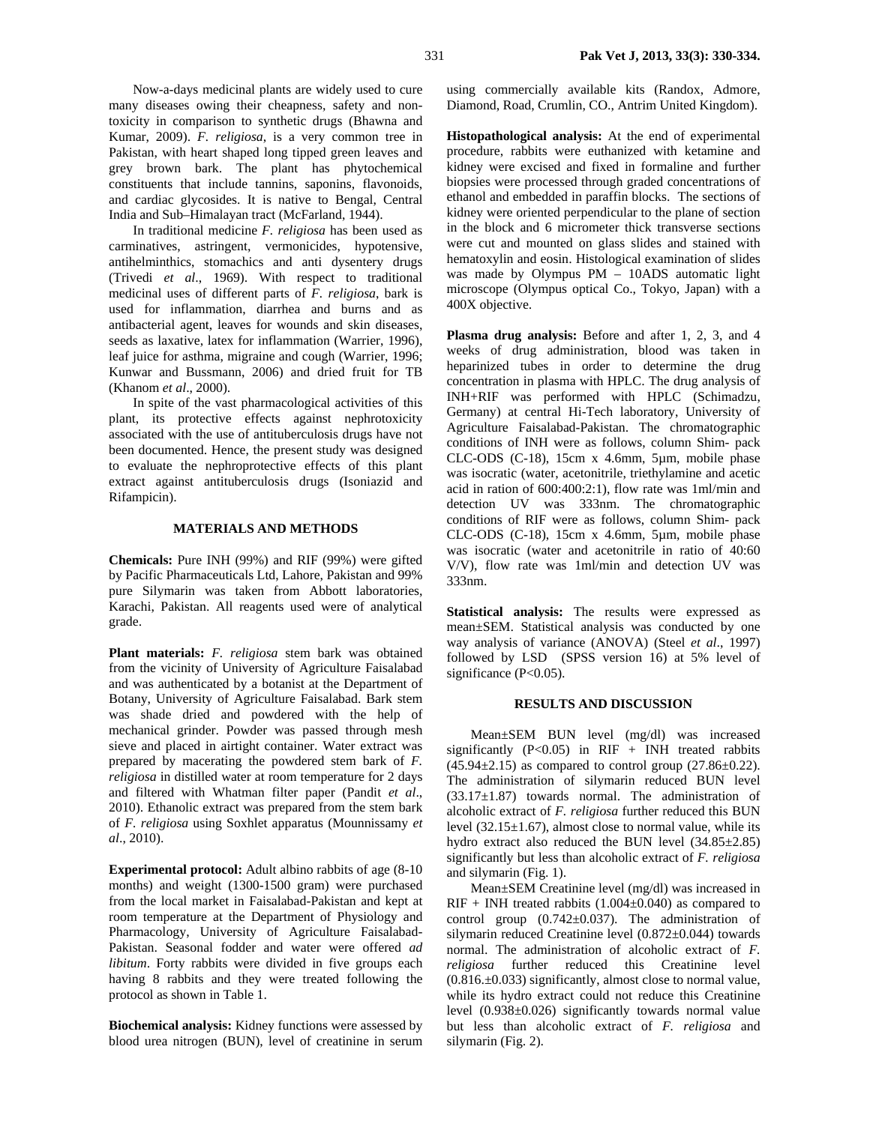Now-a-days medicinal plants are widely used to cure many diseases owing their cheapness, safety and nontoxicity in comparison to synthetic drugs (Bhawna and Kumar, 2009). *F. religiosa*, is a very common tree in Pakistan, with heart shaped long tipped green leaves and grey brown bark. The plant has phytochemical constituents that include tannins, saponins, flavonoids, and cardiac glycosides. It is native to Bengal, Central India and Sub–Himalayan tract (McFarland, 1944).

In traditional medicine *F. religiosa* has been used as carminatives, astringent, vermonicides, hypotensive, antihelminthics, stomachics and anti dysentery drugs (Trivedi *et al*., 1969). With respect to traditional medicinal uses of different parts of *F. religiosa*, bark is used for inflammation, diarrhea and burns and as antibacterial agent, leaves for wounds and skin diseases, seeds as laxative, latex for inflammation (Warrier, 1996), leaf juice for asthma, migraine and cough (Warrier, 1996; Kunwar and Bussmann, 2006) and dried fruit for TB (Khanom *et al*., 2000).

In spite of the vast pharmacological activities of this plant, its protective effects against nephrotoxicity associated with the use of antituberculosis drugs have not been documented. Hence, the present study was designed to evaluate the nephroprotective effects of this plant extract against antituberculosis drugs (Isoniazid and Rifampicin).

### **MATERIALS AND METHODS**

**Chemicals:** Pure INH (99%) and RIF (99%) were gifted by Pacific Pharmaceuticals Ltd, Lahore, Pakistan and 99% pure Silymarin was taken from Abbott laboratories, Karachi, Pakistan. All reagents used were of analytical grade.

**Plant materials:** *F. religiosa* stem bark was obtained from the vicinity of University of Agriculture Faisalabad and was authenticated by a botanist at the Department of Botany, University of Agriculture Faisalabad. Bark stem was shade dried and powdered with the help of mechanical grinder. Powder was passed through mesh sieve and placed in airtight container. Water extract was prepared by macerating the powdered stem bark of *F. religiosa* in distilled water at room temperature for 2 days and filtered with Whatman filter paper (Pandit *et al*., 2010). Ethanolic extract was prepared from the stem bark of *F. religiosa* using Soxhlet apparatus (Mounnissamy *et al*., 2010).

**Experimental protocol:** Adult albino rabbits of age (8-10 months) and weight (1300-1500 gram) were purchased from the local market in Faisalabad-Pakistan and kept at room temperature at the Department of Physiology and Pharmacology, University of Agriculture Faisalabad-Pakistan. Seasonal fodder and water were offered *ad libitum*. Forty rabbits were divided in five groups each having 8 rabbits and they were treated following the protocol as shown in Table 1.

**Biochemical analysis:** Kidney functions were assessed by blood urea nitrogen (BUN), level of creatinine in serum

using commercially available kits (Randox, Admore, Diamond, Road, Crumlin, CO., Antrim United Kingdom).

**Histopathological analysis:** At the end of experimental procedure, rabbits were euthanized with ketamine and kidney were excised and fixed in formaline and further biopsies were processed through graded concentrations of ethanol and embedded in paraffin blocks. The sections of kidney were oriented perpendicular to the plane of section in the block and 6 micrometer thick transverse sections were cut and mounted on glass slides and stained with hematoxylin and eosin. Histological examination of slides was made by Olympus PM – 10ADS automatic light microscope (Olympus optical Co., Tokyo, Japan) with a 400X objective.

Plasma drug analysis: Before and after 1, 2, 3, and 4 weeks of drug administration, blood was taken in heparinized tubes in order to determine the drug concentration in plasma with HPLC. The drug analysis of INH+RIF was performed with HPLC (Schimadzu, Germany) at central Hi-Tech laboratory, University of Agriculture Faisalabad-Pakistan. The chromatographic conditions of INH were as follows, column Shim- pack CLC-ODS (C-18), 15cm x 4.6mm, 5µm, mobile phase was isocratic (water, acetonitrile, triethylamine and acetic acid in ration of 600:400:2:1), flow rate was 1ml/min and detection UV was 333nm. The chromatographic conditions of RIF were as follows, column Shim- pack CLC-ODS (C-18), 15cm x 4.6mm, 5µm, mobile phase was isocratic (water and acetonitrile in ratio of 40:60 V/V), flow rate was 1ml/min and detection UV was 333nm.

**Statistical analysis:** The results were expressed as mean±SEM. Statistical analysis was conducted by one way analysis of variance (ANOVA) (Steel *et al*., 1997) followed by LSD (SPSS version 16) at 5% level of significance (P<0.05).

#### **RESULTS AND DISCUSSION**

Mean±SEM BUN level (mg/dl) was increased significantly  $(P<0.05)$  in RIF + INH treated rabbits  $(45.94 \pm 2.15)$  as compared to control group  $(27.86 \pm 0.22)$ . The administration of silymarin reduced BUN level (33.17±1.87) towards normal. The administration of alcoholic extract of *F. religiosa* further reduced this BUN level  $(32.15 \pm 1.67)$ , almost close to normal value, while its hydro extract also reduced the BUN level  $(34.85 \pm 2.85)$ significantly but less than alcoholic extract of *F. religiosa* and silymarin (Fig. 1).

Mean±SEM Creatinine level (mg/dl) was increased in  $RIF + INH$  treated rabbits (1.004 $\pm$ 0.040) as compared to control group  $(0.742 \pm 0.037)$ . The administration of silymarin reduced Creatinine level (0.872±0.044) towards normal. The administration of alcoholic extract of *F. religiosa* further reduced this Creatinine level  $(0.816.+0.033)$  significantly, almost close to normal value, while its hydro extract could not reduce this Creatinine level (0.938±0.026) significantly towards normal value but less than alcoholic extract of *F. religiosa* and silymarin (Fig. 2).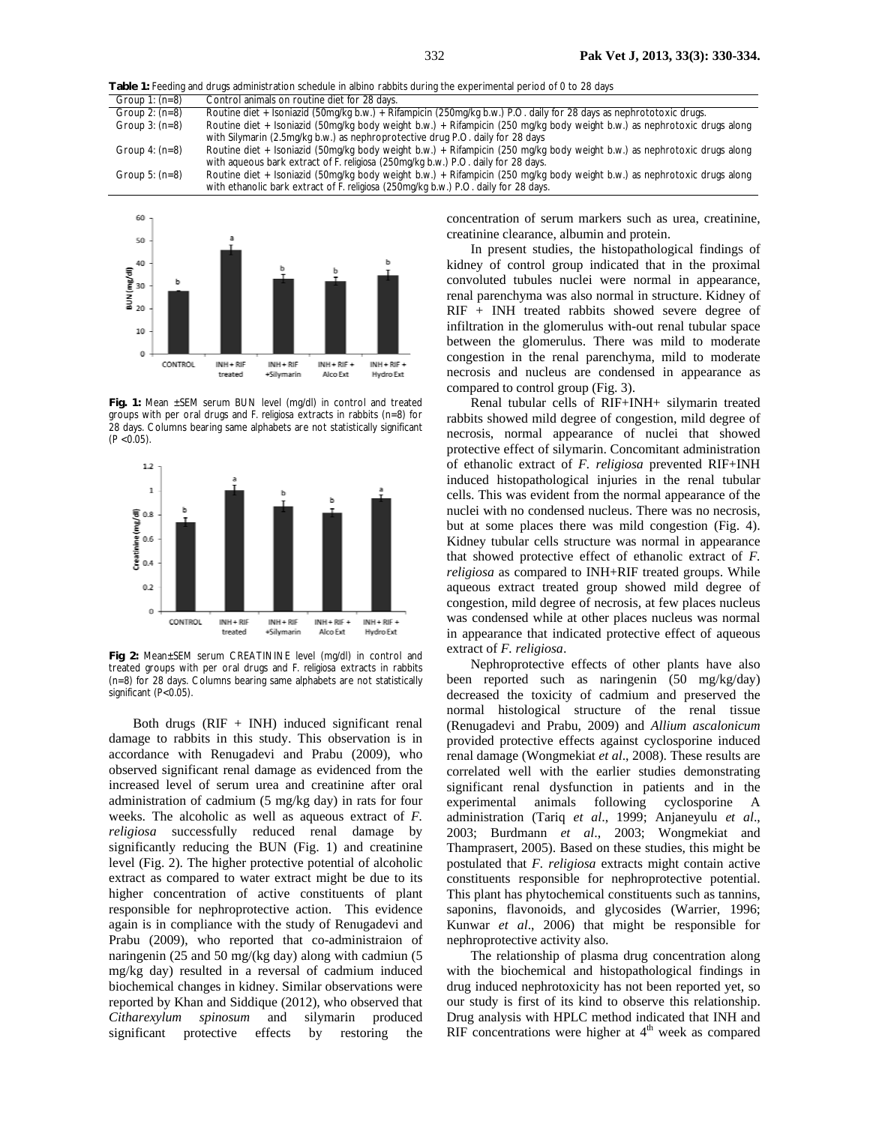Table 1: Feeding and drugs administration schedule in albino rabbits during the experimental period of 0 to 28 days<br>
Group 1: (n=8) Control animals on routine diet for 28 days. Control animals on routine diet for 28 days. Group 2:  $(n=8)$  Routine diet + Isoniazid (50mg/kg b.w.) + Rifampicin (250mg/kg b.w.) P.O. daily for 28 days as nephrototoxic drugs. Group 3: (n=8) Routine diet + Isoniazid (50mg/kg body weight b.w.) + Rifampicin (250 mg/kg body weight b.w.) as nephrotoxic drugs along with Silymarin (2.5mg/kg b.w.) as nephroprotective drug P.O. daily for 28 days Group 4: (n=8) Routine diet + Isoniazid (50mg/kg body weight b.w.) + Rifampicin (250 mg/kg body weight b.w.) as nephrotoxic drugs along with aqueous bark extract of *F. religiosa* (250mg/kg b.w.) P.O. daily for 28 days. Group 5: (n=8) Routine diet + Isoniazid (50mg/kg body weight b.w.) + Rifampicin (250 mg/kg body weight b.w.) as nephrotoxic drugs along with ethanolic bark extract of *F. religiosa* (250mg/kg b.w.) P.O. daily for 28 days.



**Fig. 1:** Mean ±SEM serum BUN level (mg/dl) in control and treated groups with per oral drugs and *F. religiosa* extracts in rabbits (n=8) for 28 days. Columns bearing same alphabets are not statistically significant  $(P < 0.05)$ .



**Fig 2:** Mean±SEM serum CREATININE level (mg/dl) in control and treated groups with per oral drugs and *F. religiosa* extracts in rabbits (n=8) for 28 days. Columns bearing same alphabets are not statistically significant (P<0.05).

Both drugs  $(RIF + INH)$  induced significant renal damage to rabbits in this study. This observation is in accordance with Renugadevi and Prabu (2009), who observed significant renal damage as evidenced from the increased level of serum urea and creatinine after oral administration of cadmium (5 mg/kg day) in rats for four weeks. The alcoholic as well as aqueous extract of *F. religiosa* successfully reduced renal damage by significantly reducing the BUN (Fig. 1) and creatinine level (Fig. 2). The higher protective potential of alcoholic extract as compared to water extract might be due to its higher concentration of active constituents of plant responsible for nephroprotective action. This evidence again is in compliance with the study of Renugadevi and Prabu (2009), who reported that co-administraion of naringenin (25 and 50 mg/(kg day) along with cadmiun (5 mg/kg day) resulted in a reversal of cadmium induced biochemical changes in kidney. Similar observations were reported by Khan and Siddique (2012), who observed that *Citharexylum spinosum* and silymarin produced significant protective effects by restoring the

concentration of serum markers such as urea, creatinine, creatinine clearance, albumin and protein.

In present studies, the histopathological findings of kidney of control group indicated that in the proximal convoluted tubules nuclei were normal in appearance, renal parenchyma was also normal in structure. Kidney of RIF + INH treated rabbits showed severe degree of infiltration in the glomerulus with-out renal tubular space between the glomerulus. There was mild to moderate congestion in the renal parenchyma, mild to moderate necrosis and nucleus are condensed in appearance as compared to control group (Fig. 3).

Renal tubular cells of RIF+INH+ silymarin treated rabbits showed mild degree of congestion, mild degree of necrosis, normal appearance of nuclei that showed protective effect of silymarin. Concomitant administration of ethanolic extract of *F. religiosa* prevented RIF+INH induced histopathological injuries in the renal tubular cells. This was evident from the normal appearance of the nuclei with no condensed nucleus. There was no necrosis, but at some places there was mild congestion (Fig. 4). Kidney tubular cells structure was normal in appearance that showed protective effect of ethanolic extract of *F. religiosa* as compared to INH+RIF treated groups. While aqueous extract treated group showed mild degree of congestion, mild degree of necrosis, at few places nucleus was condensed while at other places nucleus was normal in appearance that indicated protective effect of aqueous extract of *F. religiosa*.

Nephroprotective effects of other plants have also been reported such as naringenin (50 mg/kg/day) decreased the toxicity of cadmium and preserved the normal histological structure of the renal tissue (Renugadevi and Prabu, 2009) and *Allium ascalonicum* provided protective effects against cyclosporine induced renal damage (Wongmekiat *et al*., 2008). These results are correlated well with the earlier studies demonstrating significant renal dysfunction in patients and in the experimental animals following cyclosporine A administration (Tariq *et al*., 1999; Anjaneyulu *et al*., 2003; Burdmann *et al*., 2003; Wongmekiat and Thamprasert, 2005). Based on these studies, this might be postulated that *F. religiosa* extracts might contain active constituents responsible for nephroprotective potential. This plant has phytochemical constituents such as tannins, saponins, flavonoids, and glycosides (Warrier, 1996; Kunwar *et al*., 2006) that might be responsible for nephroprotective activity also.

The relationship of plasma drug concentration along with the biochemical and histopathological findings in drug induced nephrotoxicity has not been reported yet, so our study is first of its kind to observe this relationship. Drug analysis with HPLC method indicated that INH and RIF concentrations were higher at  $4<sup>th</sup>$  week as compared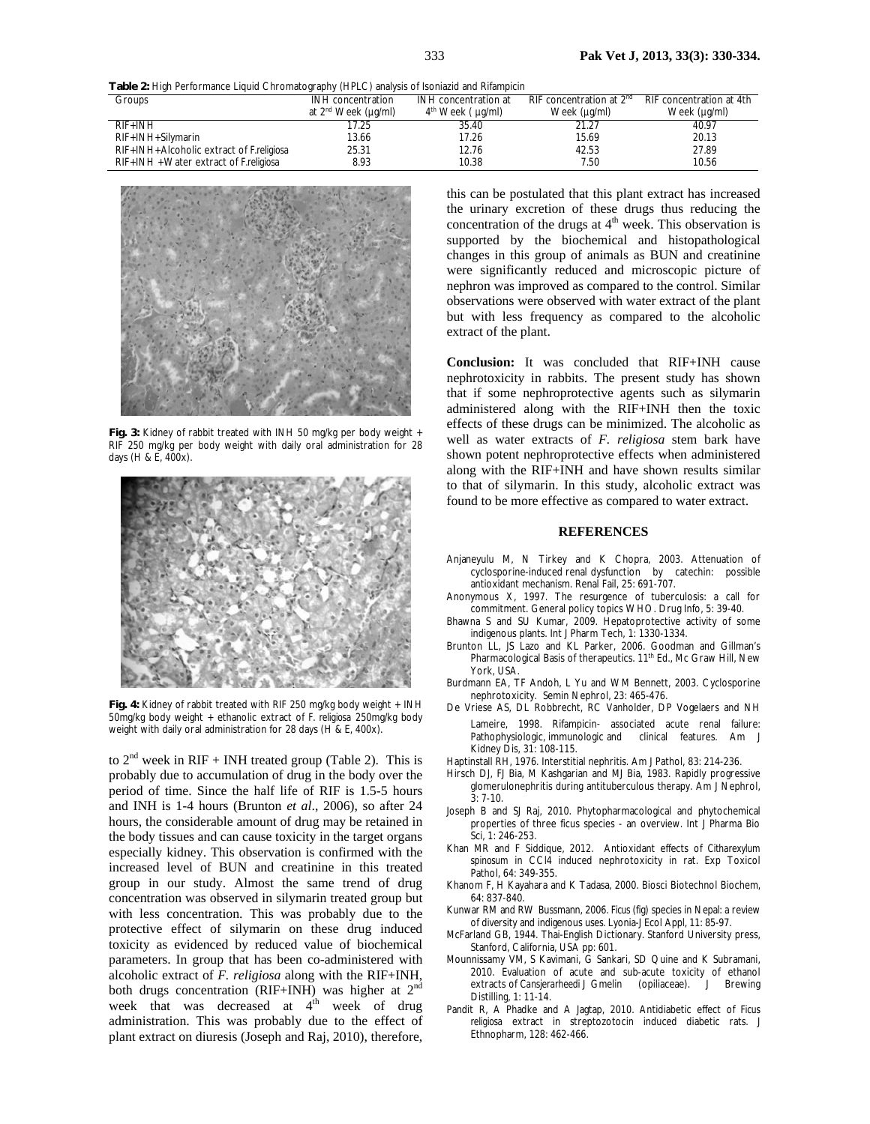**Table 2:** High Performance Liquid Chromatography (HPLC) analysis of Isoniazid and Rifampicin

| Groups                                          | INH concentration               | INH concentration at      | RIF concentration at $2nd$ | RIF concentration at 4th |
|-------------------------------------------------|---------------------------------|---------------------------|----------------------------|--------------------------|
|                                                 | at 2 <sup>nd</sup> Week (µq/ml) | $4th$ Week ( $\mu q/ml$ ) | Week (µg/ml)               | Week (µg/ml)             |
| $RIF+IMH$                                       | 17.25                           | 35.40                     | 21.27                      | 40.97                    |
| $RIF+IMH+Silymarin$                             | 13.66                           | 17.26                     | 15.69                      | 20.13                    |
| RIF+INH+Alcoholic extract of <i>F.religiosa</i> | 25.31                           | 12.76                     | 42.53                      | 27.89                    |
| RIF+INH + Water extract of <i>F. religiosa</i>  | 8.93                            | 10.38                     | 7.50                       | 10.56                    |



**Fig. 3:** Kidney of rabbit treated with INH 50 mg/kg per body weight + RIF 250 mg/kg per body weight with daily oral administration for 28 days (H & E, 400x).



**Fig. 4:** Kidney of rabbit treated with RIF 250 mg/kg body weight + INH 50mg/kg body weight + ethanolic extract of *F. religiosa* 250mg/kg body weight with daily oral administration for 28 days (H & E, 400x).

to  $2<sup>nd</sup>$  week in RIF + INH treated group (Table 2). This is probably due to accumulation of drug in the body over the period of time. Since the half life of RIF is 1.5-5 hours and INH is 1-4 hours (Brunton *et al*., 2006), so after 24 hours, the considerable amount of drug may be retained in the body tissues and can cause toxicity in the target organs especially kidney. This observation is confirmed with the increased level of BUN and creatinine in this treated group in our study. Almost the same trend of drug concentration was observed in silymarin treated group but with less concentration. This was probably due to the protective effect of silymarin on these drug induced toxicity as evidenced by reduced value of biochemical parameters. In group that has been co-administered with alcoholic extract of *F. religiosa* along with the RIF+INH, both drugs concentration (RIF+INH) was higher at 2<sup>nd</sup> week that was decreased at  $4<sup>th</sup>$  week of drug administration. This was probably due to the effect of plant extract on diuresis (Joseph and Raj, 2010), therefore,

this can be postulated that this plant extract has increased the urinary excretion of these drugs thus reducing the concentration of the drugs at 4<sup>th</sup> week. This observation is supported by the biochemical and histopathological changes in this group of animals as BUN and creatinine were significantly reduced and microscopic picture of nephron was improved as compared to the control. Similar observations were observed with water extract of the plant but with less frequency as compared to the alcoholic extract of the plant.

**Conclusion:** It was concluded that RIF+INH cause nephrotoxicity in rabbits. The present study has shown that if some nephroprotective agents such as silymarin administered along with the RIF+INH then the toxic effects of these drugs can be minimized. The alcoholic as well as water extracts of *F. religiosa* stem bark have shown potent nephroprotective effects when administered along with the RIF+INH and have shown results similar to that of silymarin. In this study, alcoholic extract was found to be more effective as compared to water extract.

#### **REFERENCES**

- Anjaneyulu M, N Tirkey and K Chopra, 2003. Attenuation of cyclosporine-induced renal dysfunction by catechin: possible antioxidant mechanism. Renal Fail, 25: 691-707.
- Anonymous X, 1997. The resurgence of tuberculosis: a call for commitment. General policy topics WHO. Drug Info, 5: 39-40.
- Bhawna S and SU Kumar, 2009. Hepatoprotective activity of some indigenous plants. Int J Pharm Tech, 1: 1330-1334.
- Brunton LL, JS Lazo and KL Parker, 2006. Goodman and Gillman's Pharmacological Basis of therapeutics. 11<sup>th</sup> Ed., Mc Graw Hill, New York, USA.
- Burdmann EA, TF Andoh, L Yu and WM Bennett, 2003. Cyclosporine nephrotoxicity. Semin Nephrol, 23: 465-476.
- De Vriese AS, DL Robbrecht, RC Vanholder, DP Vogelaers and NH Lameire, 1998. Rifampicin- associated acute renal failure: Pathophysiologic, immunologic and clinical features. Am J Kidney Dis, 31: 108-115*.*
- Haptinstall RH, 1976. Interstitial nephritis. Am J Pathol, 83: 214-236.
- Hirsch DJ, FJ Bia, M Kashgarian and MJ Bia, 1983. Rapidly progressive glomerulonephritis during antituberculous therapy. Am J Nephrol, 3: 7-10.
- Joseph B and SJ Raj, 2010. Phytopharmacological and phytochemical properties of three ficus species - an overview. Int J Pharma Bio Sci, 1: 246-253.
- Khan MR and F Siddique, 2012. Antioxidant effects of *Citharexylum spinosum* in CCl4 induced nephrotoxicity in rat. Exp Toxicol Pathol, 64: 349-355.
- Khanom F, H Kayahara and K Tadasa, 2000. Biosci Biotechnol Biochem*,*  64: 837-840.
- Kunwar RM and RW Bussmann, 2006. *Ficus* (fig) species in Nepal: a review of diversity and indigenous uses. Lyonia-J Ecol Appl, 11: 85-97.
- McFarland GB, 1944. Thai-English Dictionary. Stanford University press, Stanford, California, USA pp: 601.
- Mounnissamy VM, S Kavimani, G Sankari, SD Quine and K Subramani, 2010. Evaluation of acute and sub-acute toxicity of ethanol extracts of *Cansjerarheedi* J Gmelin (opiliaceae). J Brewing Distilling, 1: 11-14.
- Pandit R, A Phadke and A Jagtap, 2010. Antidiabetic effect of *Ficus religiosa* extract in streptozotocin induced diabetic rats. J Ethnopharm, 128: 462-466.